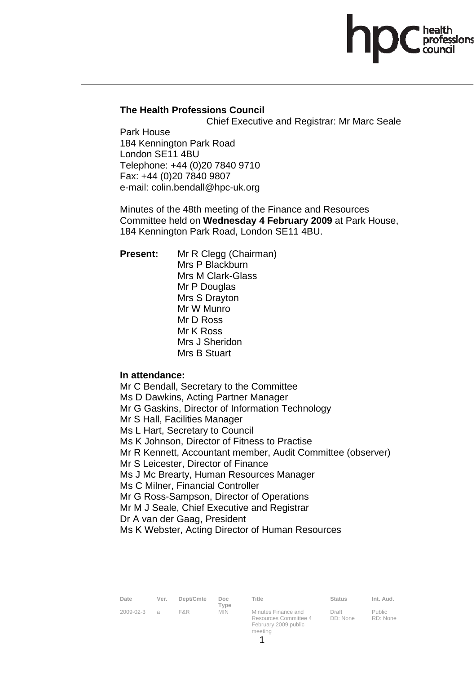# **The Health Professions Council**

Chief Executive and Registrar: Mr Marc Seale

Park House 184 Kennington Park Road London SE11 4BU Telephone: +44 (0)20 7840 9710 Fax: +44 (0)20 7840 9807 e-mail: colin.bendall@hpc-uk.org

Minutes of the 48th meeting of the Finance and Resources Committee held on **Wednesday 4 February 2009** at Park House, 184 Kennington Park Road, London SE11 4BU.

**Present:** Mr R Clegg (Chairman) Mrs P Blackburn Mrs M Clark-Glass Mr P Douglas Mrs S Drayton Mr W Munro Mr D Ross Mr K Ross Mrs J Sheridon Mrs B Stuart

**In attendance:** 

Mr C Bendall, Secretary to the Committee Ms D Dawkins, Acting Partner Manager Mr G Gaskins, Director of Information Technology Mr S Hall, Facilities Manager Ms L Hart, Secretary to Council Ms K Johnson, Director of Fitness to Practise Mr R Kennett, Accountant member, Audit Committee (observer) Mr S Leicester, Director of Finance Ms J Mc Brearty, Human Resources Manager Ms C Milner, Financial Controller Mr G Ross-Sampson, Director of Operations Mr M J Seale, Chief Executive and Registrar Dr A van der Gaag, President Ms K Webster, Acting Director of Human Resources

| Date      | Ver.           | Dept/Cmte | Doc.<br>Type | Title                                                                |
|-----------|----------------|-----------|--------------|----------------------------------------------------------------------|
| 2009-02-3 | $\overline{a}$ | F&R       | <b>MIN</b>   | Minutes Finance and<br>Resources Committee 4<br>February 2009 public |

Status Int. Aud.

Draft DD: None

Public RD: None

meeting

1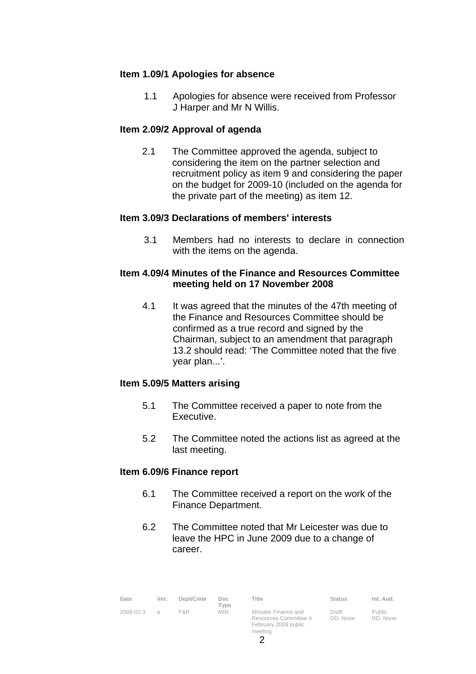## **Item 1.09/1 Apologies for absence**

1.1 Apologies for absence were received from Professor J Harper and Mr N Willis.

## **Item 2.09/2 Approval of agenda**

2.1 The Committee approved the agenda, subject to considering the item on the partner selection and recruitment policy as item 9 and considering the paper on the budget for 2009-10 (included on the agenda for the private part of the meeting) as item 12.

## **Item 3.09/3 Declarations of members' interests**

3.1 Members had no interests to declare in connection with the items on the agenda.

## **Item 4.09/4 Minutes of the Finance and Resources Committee meeting held on 17 November 2008**

4.1 It was agreed that the minutes of the 47th meeting of the Finance and Resources Committee should be confirmed as a true record and signed by the Chairman, subject to an amendment that paragraph 13.2 should read: 'The Committee noted that the five year plan...'.

# **Item 5.09/5 Matters arising**

- 5.1 The Committee received a paper to note from the Executive.
- 5.2 The Committee noted the actions list as agreed at the last meeting.

## **Item 6.09/6 Finance report**

- 6.1 The Committee received a report on the work of the Finance Department.
- 6.2 The Committee noted that Mr Leicester was due to leave the HPC in June 2009 due to a change of career.

| Date      | Ver.           | Dept/Cmte | Doc.<br>Type | Title                                                                | Status            | Int. Aud.                 |
|-----------|----------------|-----------|--------------|----------------------------------------------------------------------|-------------------|---------------------------|
| 2009-02-3 | $\overline{a}$ | F&R       | <b>MIN</b>   | Minutes Finance and<br>Resources Committee 4<br>February 2009 public | Draft<br>DD: None | <b>Public</b><br>RD: None |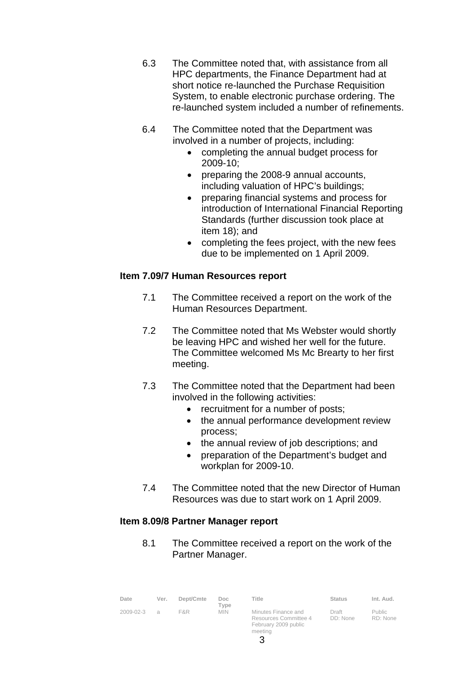- 6.3 The Committee noted that, with assistance from all HPC departments, the Finance Department had at short notice re-launched the Purchase Requisition System, to enable electronic purchase ordering. The re-launched system included a number of refinements.
- 6.4 The Committee noted that the Department was involved in a number of projects, including:
	- completing the annual budget process for 2009-10;
	- preparing the 2008-9 annual accounts, including valuation of HPC's buildings;
	- preparing financial systems and process for introduction of International Financial Reporting Standards (further discussion took place at item 18); and
	- completing the fees project, with the new fees due to be implemented on 1 April 2009.

# **Item 7.09/7 Human Resources report**

- 7.1 The Committee received a report on the work of the Human Resources Department.
- 7.2 The Committee noted that Ms Webster would shortly be leaving HPC and wished her well for the future. The Committee welcomed Ms Mc Brearty to her first meeting.
- 7.3 The Committee noted that the Department had been involved in the following activities:
	- recruitment for a number of posts;
	- the annual performance development review process;
	- the annual review of job descriptions; and
	- preparation of the Department's budget and workplan for 2009-10.
- 7.4 The Committee noted that the new Director of Human Resources was due to start work on 1 April 2009.

# **Item 8.09/8 Partner Manager report**

8.1 The Committee received a report on the work of the Partner Manager.

| Date            | Ver. | Dept/Cmte | Doc.<br>Type | Title                                                                           | <b>Status</b>     | Int. Aud.                 |
|-----------------|------|-----------|--------------|---------------------------------------------------------------------------------|-------------------|---------------------------|
| $2009 - 02 - 3$ | a    | F&R       | <b>MIN</b>   | Minutes Finance and<br>Resources Committee 4<br>February 2009 public<br>meeting | Draft<br>DD: None | <b>Public</b><br>RD: None |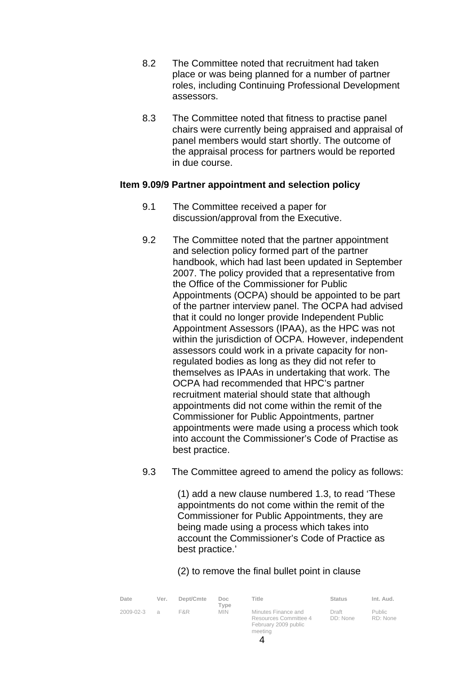- 8.2 The Committee noted that recruitment had taken place or was being planned for a number of partner roles, including Continuing Professional Development assessors.
- 8.3 The Committee noted that fitness to practise panel chairs were currently being appraised and appraisal of panel members would start shortly. The outcome of the appraisal process for partners would be reported in due course.

## **Item 9.09/9 Partner appointment and selection policy**

- 9.1 The Committee received a paper for discussion/approval from the Executive.
- 9.2 The Committee noted that the partner appointment and selection policy formed part of the partner handbook, which had last been updated in September 2007. The policy provided that a representative from the Office of the Commissioner for Public Appointments (OCPA) should be appointed to be part of the partner interview panel. The OCPA had advised that it could no longer provide Independent Public Appointment Assessors (IPAA), as the HPC was not within the jurisdiction of OCPA. However, independent assessors could work in a private capacity for nonregulated bodies as long as they did not refer to themselves as IPAAs in undertaking that work. The OCPA had recommended that HPC's partner recruitment material should state that although appointments did not come within the remit of the Commissioner for Public Appointments, partner appointments were made using a process which took into account the Commissioner's Code of Practise as best practice.
- 9.3 The Committee agreed to amend the policy as follows:

 (1) add a new clause numbered 1.3, to read 'These appointments do not come within the remit of the Commissioner for Public Appointments, they are being made using a process which takes into account the Commissioner's Code of Practice as best practice.'

(2) to remove the final bullet point in clause

| Date            | Ver.          | Dept/Cmte | Doc.<br>Type | Title                                                                | Status            | Int. Aud.                 |
|-----------------|---------------|-----------|--------------|----------------------------------------------------------------------|-------------------|---------------------------|
| $2009 - 02 - 3$ | $\mathcal{A}$ | F&R.      | <b>MIN</b>   | Minutes Finance and<br>Resources Committee 4<br>February 2009 public | Draft<br>DD: None | <b>Public</b><br>RD: None |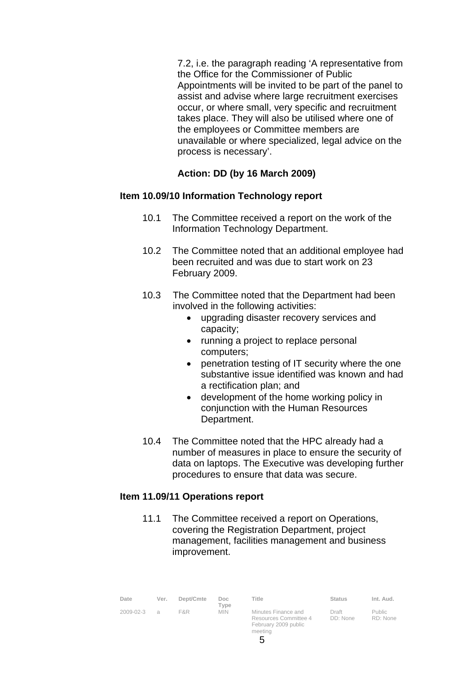7.2, i.e. the paragraph reading 'A representative from the Office for the Commissioner of Public Appointments will be invited to be part of the panel to assist and advise where large recruitment exercises occur, or where small, very specific and recruitment takes place. They will also be utilised where one of the employees or Committee members are unavailable or where specialized, legal advice on the process is necessary'.

# **Action: DD (by 16 March 2009)**

#### **Item 10.09/10 Information Technology report**

- 10.1 The Committee received a report on the work of the Information Technology Department.
- 10.2 The Committee noted that an additional employee had been recruited and was due to start work on 23 February 2009.
- 10.3 The Committee noted that the Department had been involved in the following activities:
	- upgrading disaster recovery services and capacity;
	- running a project to replace personal computers;
	- penetration testing of IT security where the one substantive issue identified was known and had a rectification plan; and
	- development of the home working policy in conjunction with the Human Resources Department.
- 10.4 The Committee noted that the HPC already had a number of measures in place to ensure the security of data on laptops. The Executive was developing further procedures to ensure that data was secure.

## **Item 11.09/11 Operations report**

11.1 The Committee received a report on Operations, covering the Registration Department, project management, facilities management and business improvement.

| Date      | Ver.          | Dept/Cmte | Doc.<br>Type | Title                                                                | Status            | Int. Aud.          |
|-----------|---------------|-----------|--------------|----------------------------------------------------------------------|-------------------|--------------------|
| 2009-02-3 | $\mathcal{A}$ | F&R.      | <b>MIN</b>   | Minutes Finance and<br>Resources Committee 4<br>February 2009 public | Draft<br>DD: None | Public<br>RD: None |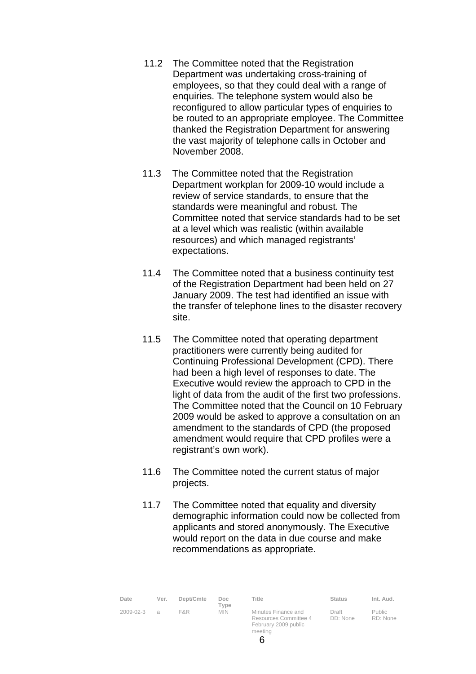- 11.2 The Committee noted that the Registration Department was undertaking cross-training of employees, so that they could deal with a range of enquiries. The telephone system would also be reconfigured to allow particular types of enquiries to be routed to an appropriate employee. The Committee thanked the Registration Department for answering the vast majority of telephone calls in October and November 2008.
- 11.3 The Committee noted that the Registration Department workplan for 2009-10 would include a review of service standards, to ensure that the standards were meaningful and robust. The Committee noted that service standards had to be set at a level which was realistic (within available resources) and which managed registrants' expectations.
- 11.4 The Committee noted that a business continuity test of the Registration Department had been held on 27 January 2009. The test had identified an issue with the transfer of telephone lines to the disaster recovery site.
- 11.5 The Committee noted that operating department practitioners were currently being audited for Continuing Professional Development (CPD). There had been a high level of responses to date. The Executive would review the approach to CPD in the light of data from the audit of the first two professions. The Committee noted that the Council on 10 February 2009 would be asked to approve a consultation on an amendment to the standards of CPD (the proposed amendment would require that CPD profiles were a registrant's own work).
- 11.6 The Committee noted the current status of major projects.
- 11.7 The Committee noted that equality and diversity demographic information could now be collected from applicants and stored anonymously. The Executive would report on the data in due course and make recommendations as appropriate.

| Date      | Ver.   | Dept/Cmte | Doc.<br>Type | Title                                                                | Status            | Int. Aud.                 |
|-----------|--------|-----------|--------------|----------------------------------------------------------------------|-------------------|---------------------------|
| 2009-02-3 | $\Box$ | F&R       | <b>MIN</b>   | Minutes Finance and<br>Resources Committee 4<br>February 2009 public | Draft<br>DD: None | <b>Public</b><br>RD: None |

meeting 6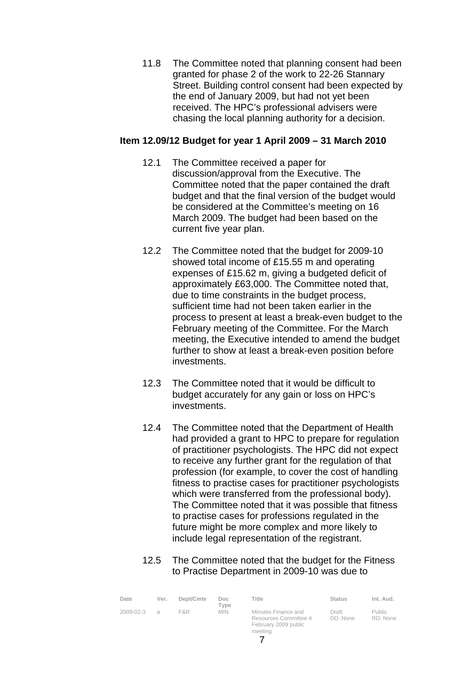11.8 The Committee noted that planning consent had been granted for phase 2 of the work to 22-26 Stannary Street. Building control consent had been expected by the end of January 2009, but had not yet been received. The HPC's professional advisers were chasing the local planning authority for a decision.

# **Item 12.09/12 Budget for year 1 April 2009 – 31 March 2010**

- 12.1 The Committee received a paper for discussion/approval from the Executive. The Committee noted that the paper contained the draft budget and that the final version of the budget would be considered at the Committee's meeting on 16 March 2009. The budget had been based on the current five year plan.
- 12.2 The Committee noted that the budget for 2009-10 showed total income of £15.55 m and operating expenses of £15.62 m, giving a budgeted deficit of approximately £63,000. The Committee noted that, due to time constraints in the budget process, sufficient time had not been taken earlier in the process to present at least a break-even budget to the February meeting of the Committee. For the March meeting, the Executive intended to amend the budget further to show at least a break-even position before investments.
- 12.3 The Committee noted that it would be difficult to budget accurately for any gain or loss on HPC's investments.
- 12.4 The Committee noted that the Department of Health had provided a grant to HPC to prepare for regulation of practitioner psychologists. The HPC did not expect to receive any further grant for the regulation of that profession (for example, to cover the cost of handling fitness to practise cases for practitioner psychologists which were transferred from the professional body). The Committee noted that it was possible that fitness to practise cases for professions regulated in the future might be more complex and more likely to include legal representation of the registrant.
- 12.5 The Committee noted that the budget for the Fitness to Practise Department in 2009-10 was due to

| Date      | Ver.           | Dept/Cmte | Doc<br>Tvpe | Title                                                                           | <b>Status</b>     | Int. Aud.          |
|-----------|----------------|-----------|-------------|---------------------------------------------------------------------------------|-------------------|--------------------|
| 2009-02-3 | $\overline{a}$ | F&R.      | <b>MIN</b>  | Minutes Finance and<br>Resources Committee 4<br>February 2009 public<br>meeting | Draft<br>DD: None | Public<br>RD: None |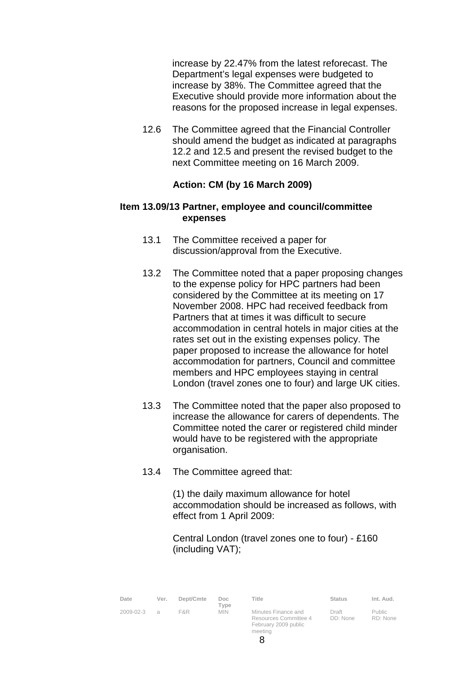increase by 22.47% from the latest reforecast. The Department's legal expenses were budgeted to increase by 38%. The Committee agreed that the Executive should provide more information about the reasons for the proposed increase in legal expenses.

 12.6 The Committee agreed that the Financial Controller should amend the budget as indicated at paragraphs 12.2 and 12.5 and present the revised budget to the next Committee meeting on 16 March 2009.

## **Action: CM (by 16 March 2009)**

## **Item 13.09/13 Partner, employee and council/committee expenses**

- 13.1 The Committee received a paper for discussion/approval from the Executive.
- 13.2 The Committee noted that a paper proposing changes to the expense policy for HPC partners had been considered by the Committee at its meeting on 17 November 2008. HPC had received feedback from Partners that at times it was difficult to secure accommodation in central hotels in major cities at the rates set out in the existing expenses policy. The paper proposed to increase the allowance for hotel accommodation for partners, Council and committee members and HPC employees staying in central London (travel zones one to four) and large UK cities.
- 13.3 The Committee noted that the paper also proposed to increase the allowance for carers of dependents. The Committee noted the carer or registered child minder would have to be registered with the appropriate organisation.
- 13.4 The Committee agreed that:

(1) the daily maximum allowance for hotel accommodation should be increased as follows, with effect from 1 April 2009:

Central London (travel zones one to four) - £160 (including VAT);

| Date      | Ver.           | Dept/Cmte | Doc.<br>Type | Title                                                                | Status            | Int. Aud.                 |
|-----------|----------------|-----------|--------------|----------------------------------------------------------------------|-------------------|---------------------------|
| 2009-02-3 | $\overline{a}$ | F&R       | <b>MIN</b>   | Minutes Finance and<br>Resources Committee 4<br>February 2009 public | Draft<br>DD: None | <b>Public</b><br>RD: None |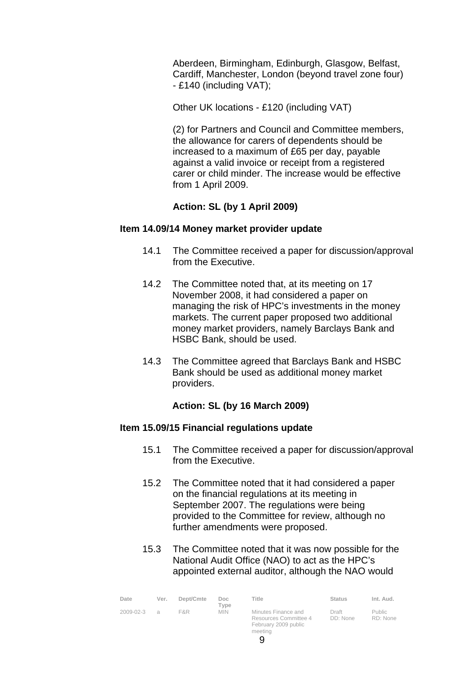Aberdeen, Birmingham, Edinburgh, Glasgow, Belfast, Cardiff, Manchester, London (beyond travel zone four) - £140 (including VAT);

Other UK locations - £120 (including VAT)

(2) for Partners and Council and Committee members, the allowance for carers of dependents should be increased to a maximum of £65 per day, payable against a valid invoice or receipt from a registered carer or child minder. The increase would be effective from 1 April 2009.

# **Action: SL (by 1 April 2009)**

## **Item 14.09/14 Money market provider update**

- 14.1 The Committee received a paper for discussion/approval from the Executive.
- 14.2 The Committee noted that, at its meeting on 17 November 2008, it had considered a paper on managing the risk of HPC's investments in the money markets. The current paper proposed two additional money market providers, namely Barclays Bank and HSBC Bank, should be used.
- 14.3 The Committee agreed that Barclays Bank and HSBC Bank should be used as additional money market providers.

# **Action: SL (by 16 March 2009)**

# **Item 15.09/15 Financial regulations update**

- 15.1 The Committee received a paper for discussion/approval from the Executive.
- 15.2 The Committee noted that it had considered a paper on the financial regulations at its meeting in September 2007. The regulations were being provided to the Committee for review, although no further amendments were proposed.
- 15.3 The Committee noted that it was now possible for the National Audit Office (NAO) to act as the HPC's appointed external auditor, although the NAO would

| Date            | Ver.             | Dept/Cmte | Doc.<br>Type | Title                                                                           | <b>Status</b>     | Int. Aud.                 |
|-----------------|------------------|-----------|--------------|---------------------------------------------------------------------------------|-------------------|---------------------------|
| $2009 - 02 - 3$ | $\triangleright$ | F&R.      | <b>MIN</b>   | Minutes Finance and<br>Resources Committee 4<br>February 2009 public<br>meeting | Draft<br>DD: None | <b>Public</b><br>RD: None |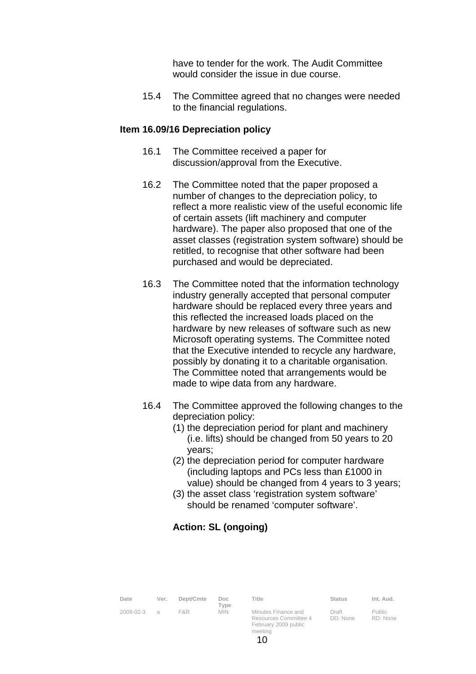have to tender for the work. The Audit Committee would consider the issue in due course.

 15.4 The Committee agreed that no changes were needed to the financial regulations.

## **Item 16.09/16 Depreciation policy**

- 16.1 The Committee received a paper for discussion/approval from the Executive.
- 16.2 The Committee noted that the paper proposed a number of changes to the depreciation policy, to reflect a more realistic view of the useful economic life of certain assets (lift machinery and computer hardware). The paper also proposed that one of the asset classes (registration system software) should be retitled, to recognise that other software had been purchased and would be depreciated.
- 16.3 The Committee noted that the information technology industry generally accepted that personal computer hardware should be replaced every three years and this reflected the increased loads placed on the hardware by new releases of software such as new Microsoft operating systems. The Committee noted that the Executive intended to recycle any hardware, possibly by donating it to a charitable organisation. The Committee noted that arrangements would be made to wipe data from any hardware.
- 16.4 The Committee approved the following changes to the depreciation policy:
	- (1) the depreciation period for plant and machinery (i.e. lifts) should be changed from 50 years to 20 years;
	- (2) the depreciation period for computer hardware (including laptops and PCs less than £1000 in value) should be changed from 4 years to 3 years;
	- (3) the asset class 'registration system software' should be renamed 'computer software'.

# **Action: SL (ongoing)**

| Date      | Ver.          | Dept/Cmte | Doc.<br>Type | Title                                                                | Status            | Int. Aud.          |
|-----------|---------------|-----------|--------------|----------------------------------------------------------------------|-------------------|--------------------|
| 2009-02-3 | $\mathcal{A}$ | F&R       | <b>MIN</b>   | Minutes Finance and<br>Resources Committee 4<br>February 2009 public | Draft<br>DD: None | Public<br>RD: None |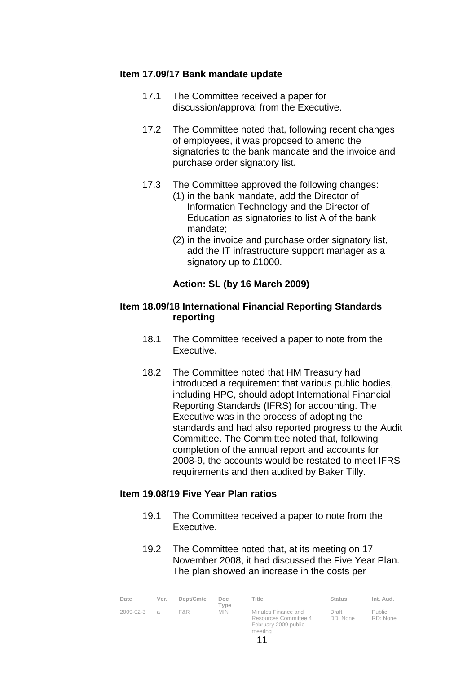## **Item 17.09/17 Bank mandate update**

- 17.1 The Committee received a paper for discussion/approval from the Executive.
- 17.2 The Committee noted that, following recent changes of employees, it was proposed to amend the signatories to the bank mandate and the invoice and purchase order signatory list.
- 17.3 The Committee approved the following changes:
	- (1) in the bank mandate, add the Director of Information Technology and the Director of Education as signatories to list A of the bank mandate;
	- (2) in the invoice and purchase order signatory list, add the IT infrastructure support manager as a signatory up to £1000.

## **Action: SL (by 16 March 2009)**

## **Item 18.09/18 International Financial Reporting Standards reporting**

- 18.1 The Committee received a paper to note from the Executive.
- 18.2 The Committee noted that HM Treasury had introduced a requirement that various public bodies, including HPC, should adopt International Financial Reporting Standards (IFRS) for accounting. The Executive was in the process of adopting the standards and had also reported progress to the Audit Committee. The Committee noted that, following completion of the annual report and accounts for 2008-9, the accounts would be restated to meet IFRS requirements and then audited by Baker Tilly.

## **Item 19.08/19 Five Year Plan ratios**

- 19.1 The Committee received a paper to note from the Executive.
- 19.2 The Committee noted that, at its meeting on 17 November 2008, it had discussed the Five Year Plan. The plan showed an increase in the costs per

| Date      | Ver.     | Dept/Cmte | Doc<br>$\tau$ vpe | Title                                                                | <b>Status</b>     | Int. Aud.                 |
|-----------|----------|-----------|-------------------|----------------------------------------------------------------------|-------------------|---------------------------|
| 2009-02-3 | $\alpha$ | F&R.      | <b>MIN</b>        | Minutes Finance and<br>Resources Committee 4<br>February 2009 public | Draft<br>DD: None | <b>Public</b><br>RD: None |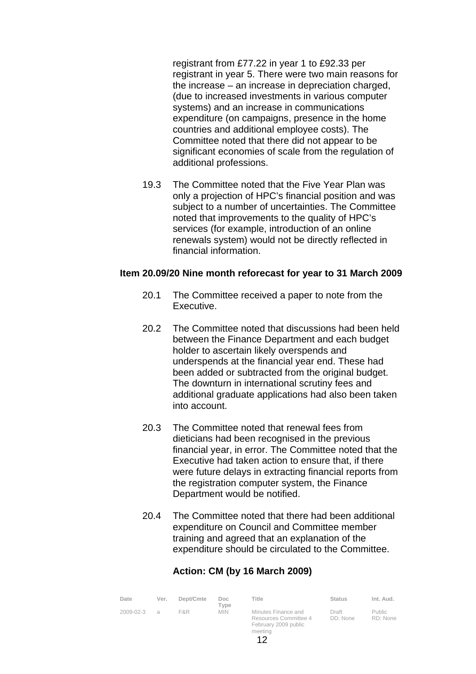registrant from £77.22 in year 1 to £92.33 per registrant in year 5. There were two main reasons for the increase – an increase in depreciation charged, (due to increased investments in various computer systems) and an increase in communications expenditure (on campaigns, presence in the home countries and additional employee costs). The Committee noted that there did not appear to be significant economies of scale from the regulation of additional professions.

 19.3 The Committee noted that the Five Year Plan was only a projection of HPC's financial position and was subject to a number of uncertainties. The Committee noted that improvements to the quality of HPC's services (for example, introduction of an online renewals system) would not be directly reflected in financial information.

#### **Item 20.09/20 Nine month reforecast for year to 31 March 2009**

- 20.1 The Committee received a paper to note from the Executive.
- 20.2 The Committee noted that discussions had been held between the Finance Department and each budget holder to ascertain likely overspends and underspends at the financial year end. These had been added or subtracted from the original budget. The downturn in international scrutiny fees and additional graduate applications had also been taken into account.
- 20.3 The Committee noted that renewal fees from dieticians had been recognised in the previous financial year, in error. The Committee noted that the Executive had taken action to ensure that, if there were future delays in extracting financial reports from the registration computer system, the Finance Department would be notified.
- 20.4 The Committee noted that there had been additional expenditure on Council and Committee member training and agreed that an explanation of the expenditure should be circulated to the Committee.

# **Action: CM (by 16 March 2009)**

| Date      | Ver.             | Dept/Cmte | Doc.<br>$T$ vpe | Title                                                                | <b>Status</b>     | Int. Aud.                 |
|-----------|------------------|-----------|-----------------|----------------------------------------------------------------------|-------------------|---------------------------|
| 2009-02-3 | $\triangleright$ | F&R       | <b>MIN</b>      | Minutes Finance and<br>Resources Committee 4<br>February 2009 public | Draft<br>DD: None | <b>Public</b><br>RD: None |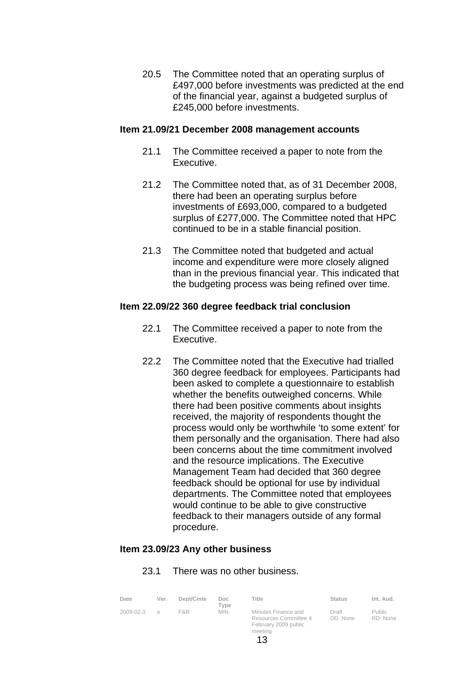20.5 The Committee noted that an operating surplus of £497,000 before investments was predicted at the end of the financial year, against a budgeted surplus of £245,000 before investments.

## **Item 21.09/21 December 2008 management accounts**

- 21.1 The Committee received a paper to note from the Executive.
- 21.2 The Committee noted that, as of 31 December 2008, there had been an operating surplus before investments of £693,000, compared to a budgeted surplus of £277,000. The Committee noted that HPC continued to be in a stable financial position.
- 21.3 The Committee noted that budgeted and actual income and expenditure were more closely aligned than in the previous financial year. This indicated that the budgeting process was being refined over time.

#### **Item 22.09/22 360 degree feedback trial conclusion**

- 22.1 The Committee received a paper to note from the Executive.
- 22.2 The Committee noted that the Executive had trialled 360 degree feedback for employees. Participants had been asked to complete a questionnaire to establish whether the benefits outweighed concerns. While there had been positive comments about insights received, the majority of respondents thought the process would only be worthwhile 'to some extent' for them personally and the organisation. There had also been concerns about the time commitment involved and the resource implications. The Executive Management Team had decided that 360 degree feedback should be optional for use by individual departments. The Committee noted that employees would continue to be able to give constructive feedback to their managers outside of any formal procedure.

## **Item 23.09/23 Any other business**

#### 23.1 There was no other business.

| Date      | Ver. | Dept/Cmte | Doc<br>Tvpe | Title                                                                           | <b>Status</b>     | Int. Aud.                 |
|-----------|------|-----------|-------------|---------------------------------------------------------------------------------|-------------------|---------------------------|
| 2009-02-3 | a    | F&R.      | <b>MIN</b>  | Minutes Finance and<br>Resources Committee 4<br>February 2009 public<br>meeting | Draft<br>DD: None | <b>Public</b><br>RD: None |